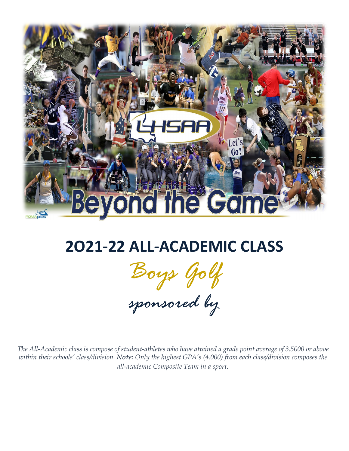

## **2O21-22 ALL-ACADEMIC CLASS**

*Boys Golf*

*sponsored by*

*The All-Academic class is compose of student-athletes who have attained a grade point average of 3.5000 or above within their schools' class/division. Note: Only the highest GPA's (4.000) from each class/division composes the all-academic Composite Team in a sport.*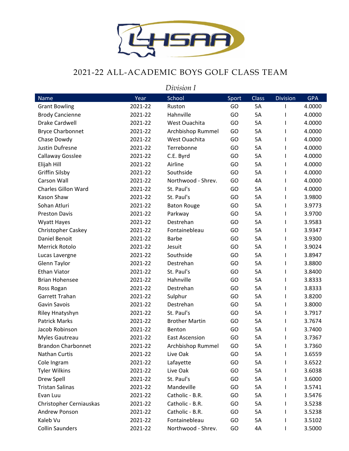

## 2021-22 ALL-ACADEMIC BOYS GOLF CLASS TEAM

*Division I*

| Name                       | Year    | School                | Sport | Class | <b>Division</b> | <b>GPA</b> |
|----------------------------|---------|-----------------------|-------|-------|-----------------|------------|
| <b>Grant Bowling</b>       | 2021-22 | Ruston                | GO    | 5A    |                 | 4.0000     |
| <b>Brody Cancienne</b>     | 2021-22 | Hahnville             | GO    | 5A    |                 | 4.0000     |
| Drake Cardwell             | 2021-22 | West Ouachita         | GO    | 5A    | ı               | 4.0000     |
| <b>Bryce Charbonnet</b>    | 2021-22 | Archbishop Rummel     | GO    | 5A    |                 | 4.0000     |
| Chase Dowdy                | 2021-22 | West Ouachita         | GO    | 5A    |                 | 4.0000     |
| Justin Dufresne            | 2021-22 | Terrebonne            | GO    | 5A    |                 | 4.0000     |
| Callaway Gosslee           | 2021-22 | C.E. Byrd             | GO    | 5A    |                 | 4.0000     |
| Elijah Hill                | 2021-22 | Airline               | GO    | 5A    | L               | 4.0000     |
| <b>Griffin Silsby</b>      | 2021-22 | Southside             | GO    | 5A    |                 | 4.0000     |
| Carson Wall                | 2021-22 | Northwood - Shrev.    | GO    | 4A    |                 | 4.0000     |
| <b>Charles Gillon Ward</b> | 2021-22 | St. Paul's            | GO    | 5A    | L               | 4.0000     |
| Kason Shaw                 | 2021-22 | St. Paul's            | GO    | 5A    |                 | 3.9800     |
| Sohan Atluri               | 2021-22 | <b>Baton Rouge</b>    | GO    | 5A    | L               | 3.9773     |
| <b>Preston Davis</b>       | 2021-22 | Parkway               | GO    | 5A    |                 | 3.9700     |
| <b>Wyatt Hayes</b>         | 2021-22 | Destrehan             | GO    | 5A    |                 | 3.9583     |
| <b>Christopher Caskey</b>  | 2021-22 | Fontainebleau         | GO    | 5A    |                 | 3.9347     |
| Daniel Benoit              | 2021-22 | <b>Barbe</b>          | GO    | 5A    |                 | 3.9300     |
| Merrick Rotolo             | 2021-22 | Jesuit                | GO    | 5A    |                 | 3.9024     |
| Lucas Lavergne             | 2021-22 | Southside             | GO    | 5A    |                 | 3.8947     |
| Glenn Taylor               | 2021-22 | Destrehan             | GO    | 5A    | ı               | 3.8800     |
| <b>Ethan Viator</b>        | 2021-22 | St. Paul's            | GO    | 5A    |                 | 3.8400     |
| <b>Brian Hohensee</b>      | 2021-22 | Hahnville             | GO    | 5A    |                 | 3.8333     |
| Ross Rogan                 | 2021-22 | Destrehan             | GO    | 5A    |                 | 3.8333     |
| Garrett Trahan             | 2021-22 | Sulphur               | GO    | 5A    |                 | 3.8200     |
| Gavin Savois               | 2021-22 | Destrehan             | GO    | 5A    | L               | 3.8000     |
| Riley Hnatyshyn            | 2021-22 | St. Paul's            | GO    | 5A    | ı               | 3.7917     |
| <b>Patrick Marks</b>       | 2021-22 | <b>Brother Martin</b> | GO    | 5A    | L               | 3.7674     |
| Jacob Robinson             | 2021-22 | Benton                | GO    | 5A    | L               | 3.7400     |
| Myles Gautreau             | 2021-22 | <b>East Ascension</b> | GO    | 5A    |                 | 3.7367     |
| <b>Brandon Charbonnet</b>  | 2021-22 | Archbishop Rummel     | GO    | 5A    |                 | 3.7360     |
| Nathan Curtis              | 2021-22 | Live Oak              | GO    | 5A    |                 | 3.6559     |
| Cole Ingram                | 2021-22 | Lafayette             | GO    | 5A    |                 | 3.6522     |
| <b>Tyler Wilkins</b>       | 2021-22 | Live Oak              | GO    | 5A    |                 | 3.6038     |
| Drew Spell                 | 2021-22 | St. Paul's            | GO    | 5А    |                 | 3.6000     |
| <b>Tristan Salinas</b>     | 2021-22 | Mandeville            | GO    | 5A    |                 | 3.5741     |
| Evan Luu                   | 2021-22 | Catholic - B.R.       | GO    | 5A    |                 | 3.5476     |
| Christopher Cerniauskas    | 2021-22 | Catholic - B.R.       | GO    | 5A    |                 | 3.5238     |
| Andrew Ponson              | 2021-22 | Catholic - B.R.       | GO    | 5A    |                 | 3.5238     |
| Kaleb Vu                   | 2021-22 | Fontainebleau         | GO    | 5A    |                 | 3.5102     |
| <b>Collin Saunders</b>     | 2021-22 | Northwood - Shrev.    | GO    | 4A    |                 | 3.5000     |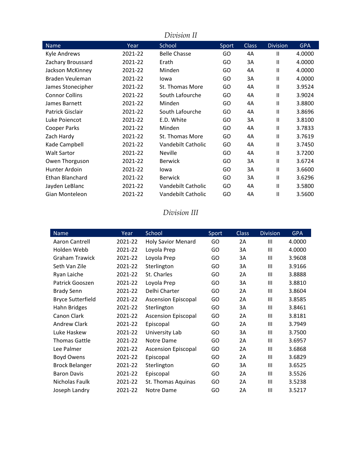| Division II            |         |                     |       |              |                 |            |
|------------------------|---------|---------------------|-------|--------------|-----------------|------------|
| Name                   | Year    | School              | Sport | <b>Class</b> | <b>Division</b> | <b>GPA</b> |
| <b>Kyle Andrews</b>    | 2021-22 | <b>Belle Chasse</b> | GO    | 4A           | Π               | 4.0000     |
| Zachary Broussard      | 2021-22 | Erath               | GO    | 3A           | $\mathsf{II}$   | 4.0000     |
| Jackson McKinney       | 2021-22 | Minden              | GO    | 4A           | $\mathbf{II}$   | 4.0000     |
| <b>Braden Veuleman</b> | 2021-22 | lowa                | GO    | 3A           | $\mathsf{II}$   | 4.0000     |
| James Stonecipher      | 2021-22 | St. Thomas More     | GO    | 4A           | $\mathbf{I}$    | 3.9524     |
| <b>Connor Collins</b>  | 2021-22 | South Lafourche     | GO    | 4A           | $\mathbf{I}$    | 3.9024     |
| James Barnett          | 2021-22 | Minden              | GO    | 4A           | $\mathbf{I}$    | 3.8800     |
| Patrick Gisclair       | 2021-22 | South Lafourche     | GO    | 4A           | $\mathbf{I}$    | 3.8696     |
| Luke Poiencot          | 2021-22 | E.D. White          | GO    | 3A           | $\mathbf{I}$    | 3.8100     |
| Cooper Parks           | 2021-22 | Minden              | GO.   | 4A           | $\mathsf{II}$   | 3.7833     |
| Zach Hardy             | 2021-22 | St. Thomas More     | GO    | 4A           | $\mathsf{II}$   | 3.7619     |
| Kade Campbell          | 2021-22 | Vandebilt Catholic  | GO    | 4A           | $\mathbf{I}$    | 3.7450     |
| <b>Walt Sartor</b>     | 2021-22 | Neville             | GO    | 4A           | $\mathbf{I}$    | 3.7200     |
| Owen Thorguson         | 2021-22 | <b>Berwick</b>      | GO    | 3A           | $\mathbf{I}$    | 3.6724     |
| Hunter Ardoin          | 2021-22 | lowa                | GO.   | 3A           | $\mathbf{I}$    | 3.6600     |
| <b>Ethan Blanchard</b> | 2021-22 | <b>Berwick</b>      | GO    | 3A           | $\mathsf{II}$   | 3.6296     |
| Jayden LeBlanc         | 2021-22 | Vandebilt Catholic  | GO.   | 4A           | $\mathsf{II}$   | 3.5800     |
| Gian Monteleon         | 2021-22 | Vandebilt Catholic  | GO    | 4A           | $\mathbf{I}$    | 3.5600     |

## *Division III*

| Name                     | Year    | School                     | Sport | <b>Class</b> | <b>Division</b> | <b>GPA</b> |
|--------------------------|---------|----------------------------|-------|--------------|-----------------|------------|
| Aaron Cantrell           | 2021-22 | <b>Holy Savior Menard</b>  | GO    | 2A           | Ш               | 4.0000     |
| Holden Webb              | 2021-22 | Loyola Prep                | GO    | ЗΑ           | Ш               | 4.0000     |
| <b>Graham Trawick</b>    | 2021-22 | Loyola Prep                | GO    | 3A           | Ш               | 3.9608     |
| Seth Van Zile            | 2021-22 | Sterlington                | GO    | ЗΑ           | Ш               | 3.9166     |
| Ryan Laiche              | 2021-22 | St. Charles                | GO    | 2A           | Ш               | 3.8888     |
| Patrick Gooszen          | 2021-22 | Loyola Prep                | GO    | 3A           | III             | 3.8810     |
| <b>Brady Senn</b>        | 2021-22 | Delhi Charter              | GO    | 2A           | III             | 3.8604     |
| <b>Bryce Sutterfield</b> | 2021-22 | <b>Ascension Episcopal</b> | GO    | 2A           | Ш               | 3.8585     |
| Hahn Bridges             | 2021-22 | Sterlington                | GO    | 3A           | Ш               | 3.8461     |
| Canon Clark              | 2021-22 | <b>Ascension Episcopal</b> | GO    | 2A           | III             | 3.8181     |
| <b>Andrew Clark</b>      | 2021-22 | Episcopal                  | GO    | 2A           | Ш               | 3.7949     |
| Luke Haskew              | 2021-22 | University Lab             | GO    | 3A           | III             | 3.7500     |
| <b>Thomas Gattle</b>     | 2021-22 | Notre Dame                 | GO    | 2A           | III             | 3.6957     |
| Lee Palmer               | 2021-22 | <b>Ascension Episcopal</b> | GO    | 2A           | III             | 3.6868     |
| Boyd Owens               | 2021-22 | Episcopal                  | GO    | 2A           | Ш               | 3.6829     |
| <b>Brock Belanger</b>    | 2021-22 | Sterlington                | GO    | 3A           | III             | 3.6525     |
| <b>Baron Davis</b>       | 2021-22 | Episcopal                  | GO    | 2A           | Ш               | 3.5526     |
| Nicholas Faulk           | 2021-22 | St. Thomas Aquinas         | GO    | 2A           | Ш               | 3.5238     |
| Joseph Landry            | 2021-22 | Notre Dame                 | GO    | 2A           | Ш               | 3.5217     |